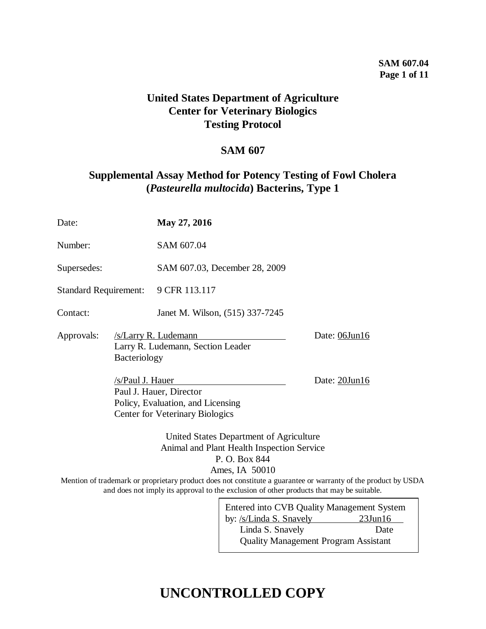## **SAM 607.04 Page 1 of 11**

## **United States Department of Agriculture Center for Veterinary Biologics Testing Protocol**

## **SAM 607**

## **Supplemental Assay Method for Potency Testing of Fowl Cholera (***Pasteurella multocida***) Bacterins, Type 1**

| Date:                        |                  | May 27, 2016                                                                                           |               |  |
|------------------------------|------------------|--------------------------------------------------------------------------------------------------------|---------------|--|
| Number:                      |                  | SAM 607.04                                                                                             |               |  |
| Supersedes:                  |                  | SAM 607.03, December 28, 2009                                                                          |               |  |
| <b>Standard Requirement:</b> |                  | 9 CFR 113.117                                                                                          |               |  |
| Contact:                     |                  | Janet M. Wilson, (515) 337-7245                                                                        |               |  |
| Approvals:<br>Bacteriology   |                  | /s/Larry R. Ludemann<br>Larry R. Ludemann, Section Leader                                              | Date: 06Jun16 |  |
|                              | /s/Paul J. Hauer | Paul J. Hauer, Director<br>Policy, Evaluation, and Licensing<br><b>Center for Veterinary Biologics</b> | Date: 20Jun16 |  |
|                              |                  | United States Department of Agriculture<br>Animal and Plant Health Inspection Service<br>P. O. Box 844 |               |  |

Ames, IA 50010

Mention of trademark or proprietary product does not constitute a guarantee or warranty of the product by USDA and does not imply its approval to the exclusion of other products that may be suitable.

| Entered into CVB Quality Management System  |               |  |  |  |  |
|---------------------------------------------|---------------|--|--|--|--|
| by: /s/Linda S. Snavely                     | $23$ Jun $16$ |  |  |  |  |
| Linda S. Snavely                            | Date          |  |  |  |  |
| <b>Quality Management Program Assistant</b> |               |  |  |  |  |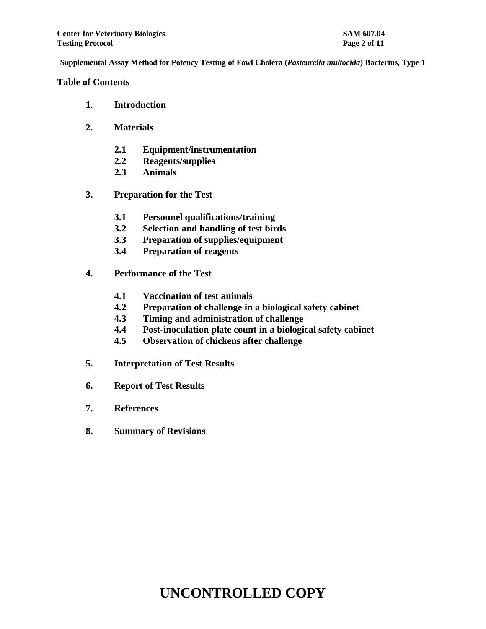### **Table of Contents**

- **1. Introduction**
- **2. Materials**
	- **2.1 Equipment/instrumentation**
	- **2.2 Reagents/supplies**
	- **2.3 Animals**
- **3. Preparation for the Test**
	- **3.1 Personnel qualifications/training**
	- **3.2 Selection and handling of test birds**
	- **3.3 Preparation of supplies/equipment**
	- **3.4 Preparation of reagents**
- **4. Performance of the Test**
	- **4.1 Vaccination of test animals**
	- **4.2 Preparation of challenge in a biological safety cabinet**
	- **4.3 Timing and administration of challenge**
	- **4.4 Post-inoculation plate count in a biological safety cabinet**
	- **4.5 Observation of chickens after challenge**
- **5. Interpretation of Test Results**
- **6. Report of Test Results**
- **7. References**
- **8. Summary of Revisions**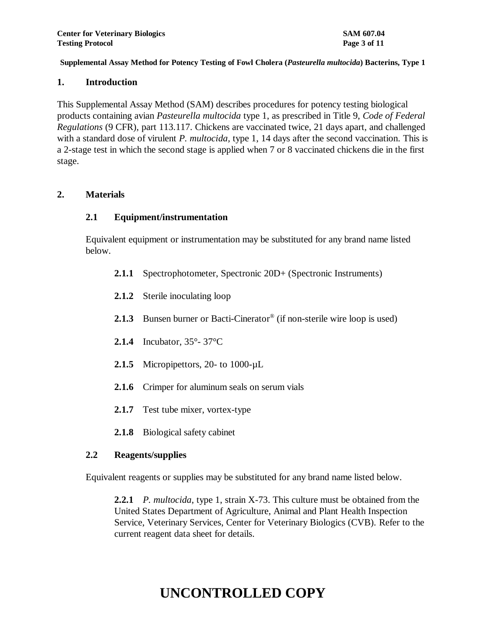### **1. Introduction**

This Supplemental Assay Method (SAM) describes procedures for potency testing biological products containing avian *Pasteurella multocida* type 1, as prescribed in Title 9, *Code of Federal Regulations* (9 CFR), part 113.117. Chickens are vaccinated twice, 21 days apart, and challenged with a standard dose of virulent *P. multocida,* type 1, 14 days after the second vaccination. This is a 2-stage test in which the second stage is applied when 7 or 8 vaccinated chickens die in the first stage.

## **2. Materials**

## **2.1 Equipment/instrumentation**

Equivalent equipment or instrumentation may be substituted for any brand name listed below.

- **2.1.1** Spectrophotometer, Spectronic 20D+ (Spectronic Instruments)
- **2.1.2** Sterile inoculating loop
- 2.1.3 Bunsen burner or Bacti-Cinerator<sup>®</sup> (if non-sterile wire loop is used)
- **2.1.4** Incubator, 35°- 37°C
- **2.1.5** Micropipettors, 20- to 1000-µL
- **2.1.6** Crimper for aluminum seals on serum vials
- **2.1.7** Test tube mixer, vortex-type
- **2.1.8** Biological safety cabinet

## **2.2 Reagents/supplies**

Equivalent reagents or supplies may be substituted for any brand name listed below.

**2.2.1** *P. multocida*, type 1, strain X-73. This culture must be obtained from the United States Department of Agriculture, Animal and Plant Health Inspection Service, Veterinary Services, Center for Veterinary Biologics (CVB). Refer to the current reagent data sheet for details.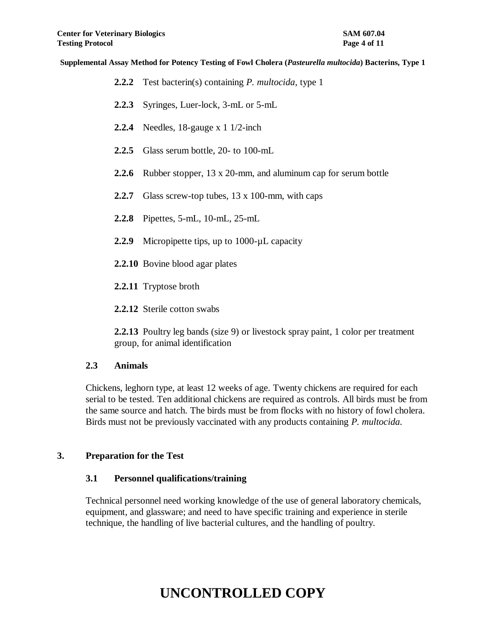- **2.2.2** Test bacterin(s) containing *P. multocida,* type 1
- **2.2.3** Syringes, Luer-lock, 3-mL or 5-mL
- **2.2.4** Needles, 18-gauge x 1 1/2-inch
- **2.2.5** Glass serum bottle, 20- to 100-mL
- **2.2.6** Rubber stopper, 13 x 20-mm, and aluminum cap for serum bottle
- **2.2.7** Glass screw-top tubes, 13 x 100-mm, with caps
- **2.2.8** Pipettes, 5-mL, 10-mL, 25-mL
- 2.2.9 Micropipette tips, up to 1000-uL capacity
- **2.2.10** Bovine blood agar plates
- **2.2.11** Tryptose broth
- **2.2.12** Sterile cotton swabs

**2.2.13** Poultry leg bands (size 9) or livestock spray paint, 1 color per treatment group, for animal identification

### **2.3 Animals**

Chickens, leghorn type, at least 12 weeks of age. Twenty chickens are required for each serial to be tested. Ten additional chickens are required as controls. All birds must be from the same source and hatch. The birds must be from flocks with no history of fowl cholera. Birds must not be previously vaccinated with any products containing *P. multocida.* 

### **3. Preparation for the Test**

### **3.1 Personnel qualifications/training**

Technical personnel need working knowledge of the use of general laboratory chemicals, equipment, and glassware; and need to have specific training and experience in sterile technique, the handling of live bacterial cultures, and the handling of poultry.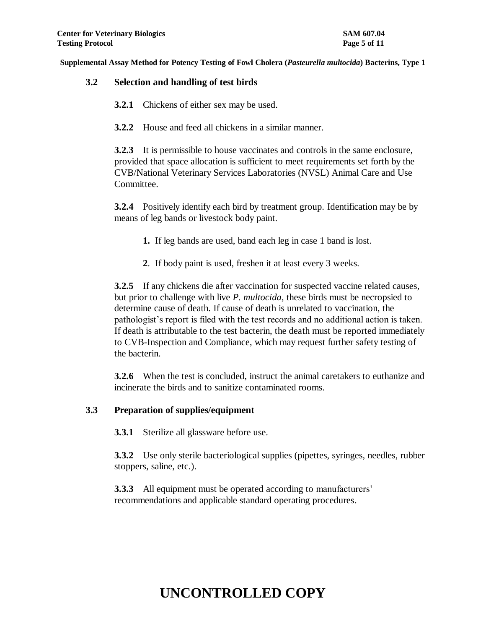## **3.2 Selection and handling of test birds**

- **3.2.1** Chickens of either sex may be used.
- **3.2.2** House and feed all chickens in a similar manner.

**3.2.3** It is permissible to house vaccinates and controls in the same enclosure, provided that space allocation is sufficient to meet requirements set forth by the CVB/National Veterinary Services Laboratories (NVSL) Animal Care and Use Committee.

**3.2.4** Positively identify each bird by treatment group. Identification may be by means of leg bands or livestock body paint.

- **1.** If leg bands are used, band each leg in case 1 band is lost.
- **2**. If body paint is used, freshen it at least every 3 weeks.

**3.2.5** If any chickens die after vaccination for suspected vaccine related causes, but prior to challenge with live *P. multocida*, these birds must be necropsied to determine cause of death. If cause of death is unrelated to vaccination, the pathologist's report is filed with the test records and no additional action is taken. If death is attributable to the test bacterin, the death must be reported immediately to CVB-Inspection and Compliance, which may request further safety testing of the bacterin.

**3.2.6** When the test is concluded, instruct the animal caretakers to euthanize and incinerate the birds and to sanitize contaminated rooms.

## **3.3 Preparation of supplies/equipment**

**3.3.1** Sterilize all glassware before use.

**3.3.2** Use only sterile bacteriological supplies (pipettes, syringes, needles, rubber stoppers, saline, etc.).

**3.3.3** All equipment must be operated according to manufacturers' recommendations and applicable standard operating procedures.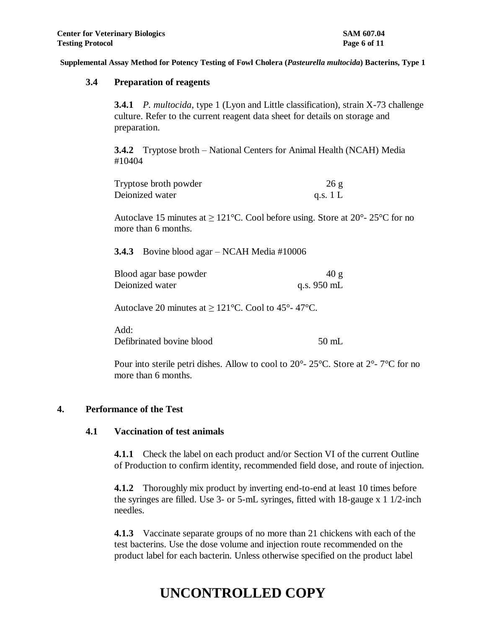### **3.4 Preparation of reagents**

**3.4.1** *P. multocida*, type 1 (Lyon and Little classification), strain X-73 challenge culture. Refer to the current reagent data sheet for details on storage and preparation.

**3.4.2** Tryptose broth – National Centers for Animal Health (NCAH) Media #10404

| Tryptose broth powder | 26g        |
|-----------------------|------------|
| Deionized water       | q.s. $1 L$ |

Autoclave 15 minutes at  $\geq 121^{\circ}$ C. Cool before using. Store at 20°-25°C for no more than 6 months.

**3.4.3** Bovine blood agar – NCAH Media #10006

| Blood agar base powder | 40 g        |
|------------------------|-------------|
| Deionized water        | q.s. 950 mL |

Autoclave 20 minutes at  $\geq 121^{\circ}$ C. Cool to 45°-47°C.

Add: Defibrinated bovine blood 50 mL

Pour into sterile petri dishes. Allow to cool to 20°- 25°C. Store at 2°- 7°C for no more than 6 months.

## **4. Performance of the Test**

### **4.1 Vaccination of test animals**

**4.1.1** Check the label on each product and/or Section VI of the current Outline of Production to confirm identity, recommended field dose, and route of injection.

**4.1.2** Thoroughly mix product by inverting end-to-end at least 10 times before the syringes are filled. Use 3- or 5-mL syringes, fitted with 18-gauge x 1 1/2-inch needles.

**4.1.3** Vaccinate separate groups of no more than 21 chickens with each of the test bacterins. Use the dose volume and injection route recommended on the product label for each bacterin. Unless otherwise specified on the product label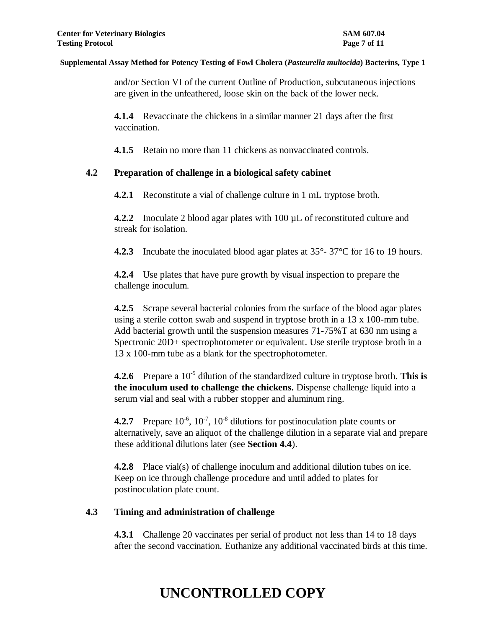and/or Section VI of the current Outline of Production, subcutaneous injections are given in the unfeathered, loose skin on the back of the lower neck.

**4.1.4** Revaccinate the chickens in a similar manner 21 days after the first vaccination.

**4.1.5** Retain no more than 11 chickens as nonvaccinated controls.

## **4.2 Preparation of challenge in a biological safety cabinet**

**4.2.1** Reconstitute a vial of challenge culture in 1 mL tryptose broth.

**4.2.2** Inoculate 2 blood agar plates with 100 µL of reconstituted culture and streak for isolation.

**4.2.3** Incubate the inoculated blood agar plates at  $35^{\circ}$ -  $37^{\circ}$ C for 16 to 19 hours.

**4.2.4** Use plates that have pure growth by visual inspection to prepare the challenge inoculum.

**4.2.5** Scrape several bacterial colonies from the surface of the blood agar plates using a sterile cotton swab and suspend in tryptose broth in a 13 x 100-mm tube. Add bacterial growth until the suspension measures 71-75%T at 630 nm using a Spectronic 20D+ spectrophotometer or equivalent. Use sterile tryptose broth in a 13 x 100-mm tube as a blank for the spectrophotometer.

**4.2.6** Prepare a 10<sup>-5</sup> dilution of the standardized culture in tryptose broth. This is **the inoculum used to challenge the chickens.** Dispense challenge liquid into a serum vial and seal with a rubber stopper and aluminum ring.

**4.2.7** Prepare  $10^{-6}$ ,  $10^{-7}$ ,  $10^{-8}$  dilutions for postinoculation plate counts or alternatively, save an aliquot of the challenge dilution in a separate vial and prepare these additional dilutions later (see **Section 4.4**).

**4.2.8** Place vial(s) of challenge inoculum and additional dilution tubes on ice. Keep on ice through challenge procedure and until added to plates for postinoculation plate count.

## **4.3 Timing and administration of challenge**

**4.3.1** Challenge 20 vaccinates per serial of product not less than 14 to 18 days after the second vaccination. Euthanize any additional vaccinated birds at this time.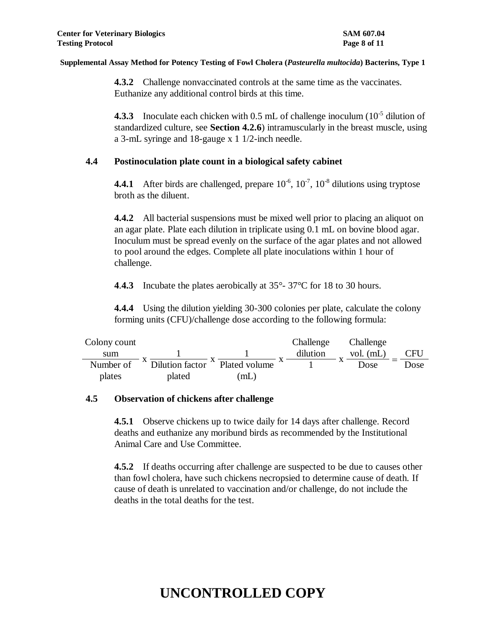**4.3.2** Challenge nonvaccinated controls at the same time as the vaccinates. Euthanize any additional control birds at this time.

**4.3.3** Inoculate each chicken with  $0.5$  mL of challenge inoculum  $(10^{-5}$  dilution of standardized culture, see **Section 4.2.6**) intramuscularly in the breast muscle, using a 3-mL syringe and 18-gauge x 1 1/2-inch needle.

## **4.4 Postinoculation plate count in a biological safety cabinet**

**4.4.1** After birds are challenged, prepare  $10^{-6}$ ,  $10^{-7}$ ,  $10^{-8}$  dilutions using tryptose broth as the diluent.

**4.4.2** All bacterial suspensions must be mixed well prior to placing an aliquot on an agar plate. Plate each dilution in triplicate using 0.1 mL on bovine blood agar. Inoculum must be spread evenly on the surface of the agar plates and not allowed to pool around the edges. Complete all plate inoculations within 1 hour of challenge.

**4**.**4.3** Incubate the plates aerobically at 35°- 37°C for 18 to 30 hours.

**4.4.4** Using the dilution yielding 30-300 colonies per plate, calculate the colony forming units (CFU)/challenge dose according to the following formula:

| Colony count |                 |                            | Challenge | Challenge   |      |
|--------------|-----------------|----------------------------|-----------|-------------|------|
| sum          |                 |                            | dilution  | vol. $(mL)$ | CFU  |
| Number of    | Dilution factor | <sup>A</sup> Plated volume |           | Dose        | Dose |
| plates       | plated          | mL                         |           |             |      |

## **4.5 Observation of chickens after challenge**

**4.5.1** Observe chickens up to twice daily for 14 days after challenge. Record deaths and euthanize any moribund birds as recommended by the Institutional Animal Care and Use Committee.

**4.5.2** If deaths occurring after challenge are suspected to be due to causes other than fowl cholera, have such chickens necropsied to determine cause of death. If cause of death is unrelated to vaccination and/or challenge, do not include the deaths in the total deaths for the test.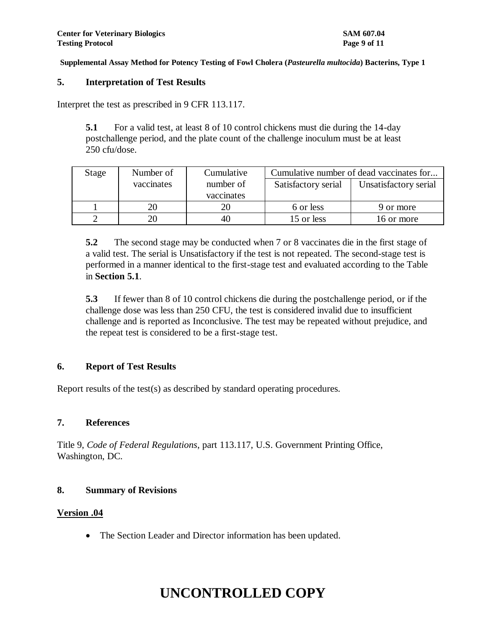### **5. Interpretation of Test Results**

Interpret the test as prescribed in 9 CFR 113.117.

**5.1** For a valid test, at least 8 of 10 control chickens must die during the 14-day postchallenge period, and the plate count of the challenge inoculum must be at least 250 cfu/dose.

| Stage | Number of  | Cumulative | Cumulative number of dead vaccinates for |                       |  |
|-------|------------|------------|------------------------------------------|-----------------------|--|
|       | vaccinates | number of  | Satisfactory serial                      | Unsatisfactory serial |  |
|       |            | vaccinates |                                          |                       |  |
|       | 20         | 20         | 6 or less                                | 9 or more             |  |
|       | 20         | 40         | 15 or less                               | 16 or more            |  |

**5.2** The second stage may be conducted when 7 or 8 vaccinates die in the first stage of a valid test. The serial is Unsatisfactory if the test is not repeated. The second-stage test is performed in a manner identical to the first-stage test and evaluated according to the Table in **Section 5.1**.

**5.3** If fewer than 8 of 10 control chickens die during the postchallenge period, or if the challenge dose was less than 250 CFU, the test is considered invalid due to insufficient challenge and is reported as Inconclusive. The test may be repeated without prejudice, and the repeat test is considered to be a first-stage test.

## **6. Report of Test Results**

Report results of the test(s) as described by standard operating procedures.

### **7. References**

Title 9, *Code of Federal Regulations*, part 113.117, U.S. Government Printing Office, Washington, DC.

### **8. Summary of Revisions**

## **Version .04**

The Section Leader and Director information has been updated.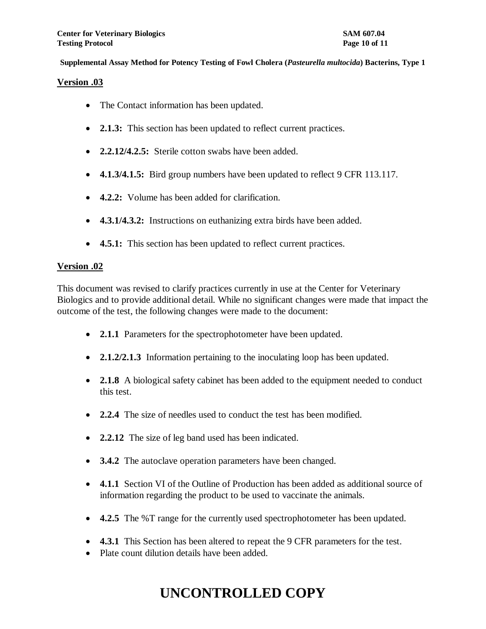### **Version .03**

- The Contact information has been updated.
- **2.1.3:** This section has been updated to reflect current practices.
- **2.2.12/4.2.5:** Sterile cotton swabs have been added.
- **4.1.3/4.1.5:** Bird group numbers have been updated to reflect 9 CFR 113.117.
- **4.2.2:** Volume has been added for clarification.
- **4.3.1/4.3.2:** Instructions on euthanizing extra birds have been added.
- **4.5.1:** This section has been updated to reflect current practices.

## **Version .02**

This document was revised to clarify practices currently in use at the Center for Veterinary Biologics and to provide additional detail. While no significant changes were made that impact the outcome of the test, the following changes were made to the document:

- 2.1.1 Parameters for the spectrophotometer have been updated.
- **2.1.2/2.1.3** Information pertaining to the inoculating loop has been updated.
- **2.1.8** A biological safety cabinet has been added to the equipment needed to conduct this test.
- **2.2.4** The size of needles used to conduct the test has been modified.
- **2.2.12** The size of leg band used has been indicated.
- **3.4.2** The autoclave operation parameters have been changed.
- **4.1.1** Section VI of the Outline of Production has been added as additional source of information regarding the product to be used to vaccinate the animals.
- **4.2.5** The %T range for the currently used spectrophotometer has been updated.
- **4.3.1** This Section has been altered to repeat the 9 CFR parameters for the test.
- Plate count dilution details have been added.